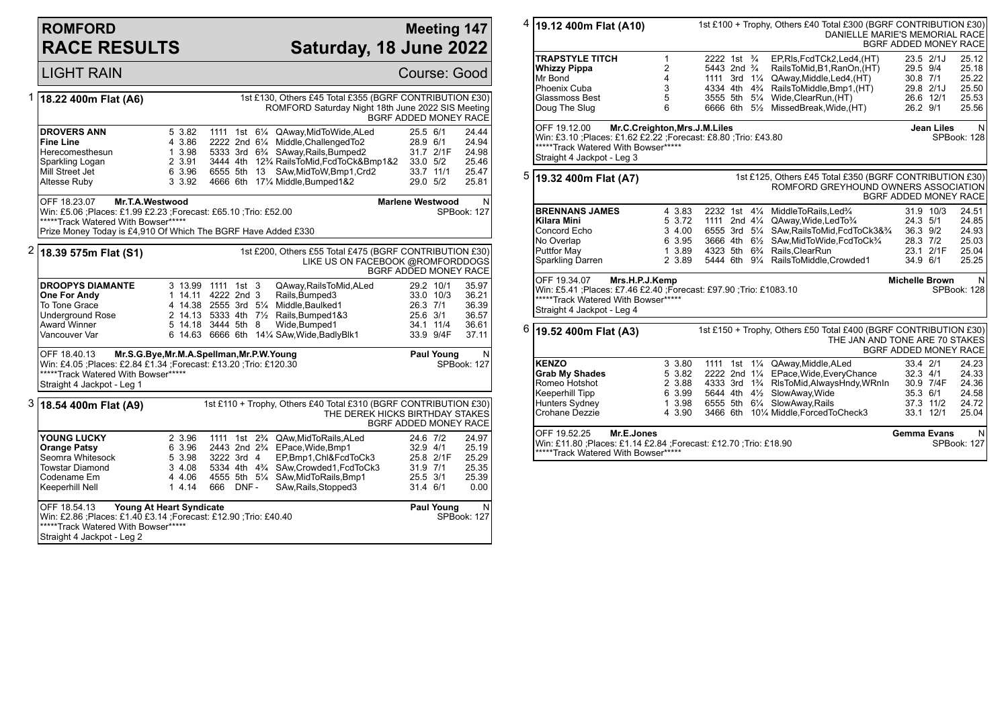## **ROMFORD RACE RESULTS**

### **Meeting 147 Saturday, 18 June 2022**

|   | <b>LIGHT RAIN</b>                                                                                                                                                                                                                                            |  |                                                                |                                                                                 |  |  |                                                                                                                                                                                                                                                                                       |                                              | Course: Good                                                             |                                                    |  |
|---|--------------------------------------------------------------------------------------------------------------------------------------------------------------------------------------------------------------------------------------------------------------|--|----------------------------------------------------------------|---------------------------------------------------------------------------------|--|--|---------------------------------------------------------------------------------------------------------------------------------------------------------------------------------------------------------------------------------------------------------------------------------------|----------------------------------------------|--------------------------------------------------------------------------|----------------------------------------------------|--|
|   | <sup>1</sup>   18.22 400m Flat (A6)                                                                                                                                                                                                                          |  |                                                                |                                                                                 |  |  | 1st £130, Others £45 Total £355 (BGRF CONTRIBUTION £30)<br>ROMFORD Saturday Night 18th June 2022 SIS Meeting                                                                                                                                                                          | BGRF ADDED MONEY RACE                        |                                                                          |                                                    |  |
|   | <b>DROVERS ANN</b><br><b>Fine Line</b><br>Herecomesthesun<br>Sparkling Logan<br>Mill Street Jet<br>Altesse Ruby                                                                                                                                              |  | 5 3.82<br>4 3.86<br>1 3.98<br>2 3.91<br>6 3.96<br>3 3.92       | 6555 5th 13                                                                     |  |  | 1111 1st 61/4 QAway, Mid To Wide, ALed<br>2222 2nd 61/4 Middle, Challenged To 2<br>5333 3rd 6 <sup>3</sup> / <sub>4</sub> SAway, Rails, Bumped2<br>3444 4th 12 <sup>3</sup> / <sub>4</sub> RailsToMid, FcdToCk&Bmp1&2<br>SAw, MidToW, Bmp1, Crd2<br>4666 6th 171/4 Middle, Bumped 1&2 | 25.5 6/1<br>28.9 6/1                         | 31.7 2/1F<br>33.0 5/2<br>33.7 11/1<br>29.0 5/2                           | 24.44<br>24.94<br>24.98<br>25.46<br>25.47<br>25.81 |  |
|   | OFF 18.23.07<br>Mr.T.A.Westwood<br><b>Marlene Westwood</b><br>N<br>Win: £5.06 ; Places: £1.99 £2.23 ; Forecast: £65.10 ; Trio: £52.00<br>SPBook: 127<br>*****Track Watered With Bowser*****<br>Prize Money Today is £4,910 Of Which The BGRF Have Added £330 |  |                                                                |                                                                                 |  |  |                                                                                                                                                                                                                                                                                       |                                              |                                                                          |                                                    |  |
| 2 | 18.39 575m Flat (S1)                                                                                                                                                                                                                                         |  |                                                                |                                                                                 |  |  | 1st £200, Others £55 Total £475 (BGRF CONTRIBUTION £30)<br>LIKE US ON FACEBOOK @ROMFORDDOGS                                                                                                                                                                                           | BGRF ADDED MONEY RACE                        |                                                                          |                                                    |  |
|   | <b>DROOPYS DIAMANTE</b><br>One For Andy<br>To Tone Grace<br><b>Underground Rose</b><br><b>Award Winner</b><br>Vancouver Var                                                                                                                                  |  | 3 13.99 1111 1st 3<br>1 14.11 4222 2nd 3<br>5 14.18 3444 5th 8 |                                                                                 |  |  | QAway, Rails To Mid, ALed<br>Rails, Bumped3<br>4 14.38 2555 3rd 51/4 Middle, Baulked 1<br>2 14.13 5333 4th 71/2 Rails, Bumped 1&3<br>Wide, Bumped1<br>6 14.63 6666 6th 141/4 SAw, Wide, Badly Blk1                                                                                    |                                              | 29.2 10/1<br>33.0 10/3<br>26.3 7/1<br>25.6 3/1<br>34.1 11/4<br>33.9 9/4F | 35.97<br>36.21<br>36.39<br>36.57<br>36.61<br>37.11 |  |
|   | Mr.S.G.Bye, Mr.M.A.Spellman, Mr.P.W.Young<br>OFF 18.40.13<br>Win: £4.05 ;Places: £2.84 £1.34 ;Forecast: £13.20 ;Trio: £120.30<br>*****Track Watered With Bowser*****<br>Straight 4 Jackpot - Leg 1                                                           |  |                                                                |                                                                                 |  |  |                                                                                                                                                                                                                                                                                       |                                              | <b>Paul Young</b>                                                        | N<br>SPBook: 127                                   |  |
| 3 | $ 18.54\,400m$ Flat (A9)                                                                                                                                                                                                                                     |  |                                                                |                                                                                 |  |  | 1st £110 + Trophy, Others £40 Total £310 (BGRF CONTRIBUTION £30)<br>THE DEREK HICKS BIRTHDAY STAKES                                                                                                                                                                                   | <b>BGRF ADDED MONEY RACE</b>                 |                                                                          |                                                    |  |
|   | YOUNG LUCKY<br><b>Orange Patsy</b><br>Seomra Whitesock<br>Towstar Diamond<br>Codename Em<br>Keeperhill Nell                                                                                                                                                  |  | 2 3.96<br>6 3.96<br>5 3.98<br>3 4.08<br>4 4.06<br>14.14        | 3222 3rd 4<br>5334 4th 4 <sup>3</sup> / <sub>4</sub><br>4555 5th 5¼<br>666 DNF- |  |  | 1111 1st 2 <sup>3</sup> / <sub>4</sub> QAw, Mid To Rails, ALed<br>2443 2nd 2 <sup>3</sup> / <sub>4</sub> EPace, Wide, Bmp1<br>EP,Bmp1,Chl&FcdToCk3<br>SAw,Crowded1,FcdToCk3<br>SAw, Mid To Rails, Bmp1<br>SAw, Rails, Stopped3                                                        | 32.9 4/1<br>31.9 7/1<br>25.5 3/1<br>31.4 6/1 | 24.6 7/2<br>25.8 2/1F                                                    | 24.97<br>25.19<br>25.29<br>25.35<br>25.39<br>0.00  |  |
|   | OFF 18.54.13<br>Young At Heart Syndicate<br>Win: £2.86 ; Places: £1.40 £3.14 ; Forecast: £12.90 ; Trio: £40.40<br>*****Track Watered With Bowser*****<br>Straight 4 Jackpot - Leg 2                                                                          |  |                                                                |                                                                                 |  |  |                                                                                                                                                                                                                                                                                       |                                              | <b>Paul Young</b>                                                        | N<br>SPBook: 127                                   |  |

| 4 | 19.12 400m Flat (A10)                                                                                                                                                                   |                                                      |                                                          |                                                                                                                           |  | 1st £100 + Trophy, Others £40 Total £300 (BGRF CONTRIBUTION £30)<br>DANIELLE MARIE'S MEMORIAL RACE                                                                                                                                                                                            | BGRF ADDED MONEY RACE |                                                                         |                       |                                                    |
|---|-----------------------------------------------------------------------------------------------------------------------------------------------------------------------------------------|------------------------------------------------------|----------------------------------------------------------|---------------------------------------------------------------------------------------------------------------------------|--|-----------------------------------------------------------------------------------------------------------------------------------------------------------------------------------------------------------------------------------------------------------------------------------------------|-----------------------|-------------------------------------------------------------------------|-----------------------|----------------------------------------------------|
|   | <b>TRAPSTYLE TITCH</b><br><b>Whizzy Pippa</b><br>Mr Bond<br>Phoenix Cuba<br>Glassmoss Best<br>Doug The Slug                                                                             | 1<br>$\overline{2}$<br>$\overline{4}$<br>3<br>5<br>6 |                                                          | 2222 1st $\frac{3}{4}$<br>5443 2nd <sup>3</sup> / <sub>4</sub><br>4334 4th 4 <sup>3</sup> / <sub>4</sub><br>3555 5th 51/4 |  | EP,RIs,FcdTCk2,Led4,(HT)<br>RailsToMid,B1,RanOn,(HT)<br>1111 3rd 11/4 QAway, Middle, Led4, (HT)<br>RailsToMiddle,Bmp1,(HT)<br>Wide,ClearRun,(HT)<br>6666 6th 51/ <sub>2</sub> MissedBreak, Wide, (HT)                                                                                         |                       | 23.5 2/1J<br>29.5 9/4<br>30.8 7/1<br>29.8 2/1J<br>26.6 12/1<br>26.2 9/1 |                       | 25.12<br>25.18<br>25.22<br>25.50<br>25.53<br>25.56 |
|   | OFF 19.12.00<br>Mr.C.Creighton, Mrs.J.M.Liles<br>Win: £3.10 ; Places: £1.62 £2.22 ; Forecast: £8.80 ; Trio: £43.80<br>*****Track Watered With Bowser*****<br>Straight 4 Jackpot - Leg 3 |                                                      |                                                          |                                                                                                                           |  |                                                                                                                                                                                                                                                                                               |                       |                                                                         | Jean Liles            | N<br>SPBook: 128                                   |
|   | $5 $ 19.32 400m Flat (A7)                                                                                                                                                               |                                                      |                                                          |                                                                                                                           |  | 1st £125, Others £45 Total £350 (BGRF CONTRIBUTION £30)<br>ROMFORD GREYHOUND OWNERS ASSOCIATION                                                                                                                                                                                               | BGRF ADDED MONEY RACE |                                                                         |                       |                                                    |
|   | <b>BRENNANS JAMES</b><br><b>Kilara Mini</b><br>Concord Echo<br>No Overlap<br><b>Puttfor May</b><br>Sparkling Darren                                                                     |                                                      | 4 3.83<br>5 3.72<br>3 4.00<br>6 3.95<br>1 3.89<br>2 3.89 |                                                                                                                           |  | 2232 1st 41/4 MiddleToRails.Led <sup>3</sup> /4<br>1111 2nd 41/4 QAway, Wide, Led To 3/4<br>6555 3rd 51/4 SAw, Rails To Mid, Fcd To Ck 3& 3/4<br>3666 4th 61/2 SAw, MidToWide, FcdToCk3/4<br>4323 5th 6 <sup>3</sup> / <sub>4</sub> Rails, Clear Run<br>5444 6th 91/4 RailsToMiddle, Crowded1 |                       | 31.9 10/3<br>24.3 5/1<br>36.3 9/2<br>28.3 7/2<br>34.9 6/1               | 23.1 2/1F             | 24.51<br>24.85<br>24.93<br>25.03<br>25.04<br>25.25 |
|   | OFF 19.34.07<br>Mrs.H.P.J.Kemp<br>Win: £5.41 ; Places: £7.46 £2.40 ; Forecast: £97.90 ; Trio: £1083.10<br>*****Track Watered With Bowser*****<br>Straight 4 Jackpot - Leg 4             |                                                      |                                                          |                                                                                                                           |  |                                                                                                                                                                                                                                                                                               |                       |                                                                         | <b>Michelle Brown</b> | N<br>SPBook: 128                                   |
|   | $6 $ 19.52 400m Flat (A3)                                                                                                                                                               |                                                      |                                                          |                                                                                                                           |  | 1st £150 + Trophy, Others £50 Total £400 (BGRF CONTRIBUTION £30)<br>THE JAN AND TONE ARE 70 STAKES                                                                                                                                                                                            | BGRF ADDED MONEY RACE |                                                                         |                       |                                                    |
|   | <b>KENZO</b><br><b>Grab My Shades</b><br>Romeo Hotshot<br>Keeperhill Tipp<br><b>Hunters Sydney</b><br>Crohane Dezzie                                                                    |                                                      | 3 3.80<br>5 3.82<br>2 3.88<br>6 3.99<br>1 3.98<br>4 3.90 |                                                                                                                           |  | 1111 1st 11/4 QAway, Middle, ALed<br>2222 2nd 11/4 EPace, Wide, Every Chance<br>4333 3rd 1 <sup>3</sup> / <sub>4</sub> RIsToMid, Always Hndy, WRnIn<br>5644 4th 41/2 SlowAway, Wide<br>6555 5th 61/4 SlowAway, Rails<br>3466 6th 101/4 Middle, Forced To Check3                               |                       | 33.4 2/1<br>32.3 4/1<br>35.3 6/1<br>37.3 11/2<br>33.1 12/1              | 30.9 7/4F             | 24.23<br>24.33<br>24.36<br>24.58<br>24.72<br>25.04 |
|   | Mr.E.Jones<br>OFF 19.52.25<br>Win: £11.80 ; Places: £1.14 £2.84 ; Forecast: £12.70 ; Trio: £18.90<br>*****Track Watered With Bowser*****                                                |                                                      |                                                          |                                                                                                                           |  |                                                                                                                                                                                                                                                                                               |                       |                                                                         | <b>Gemma Evans</b>    | N<br>SPBook: 127                                   |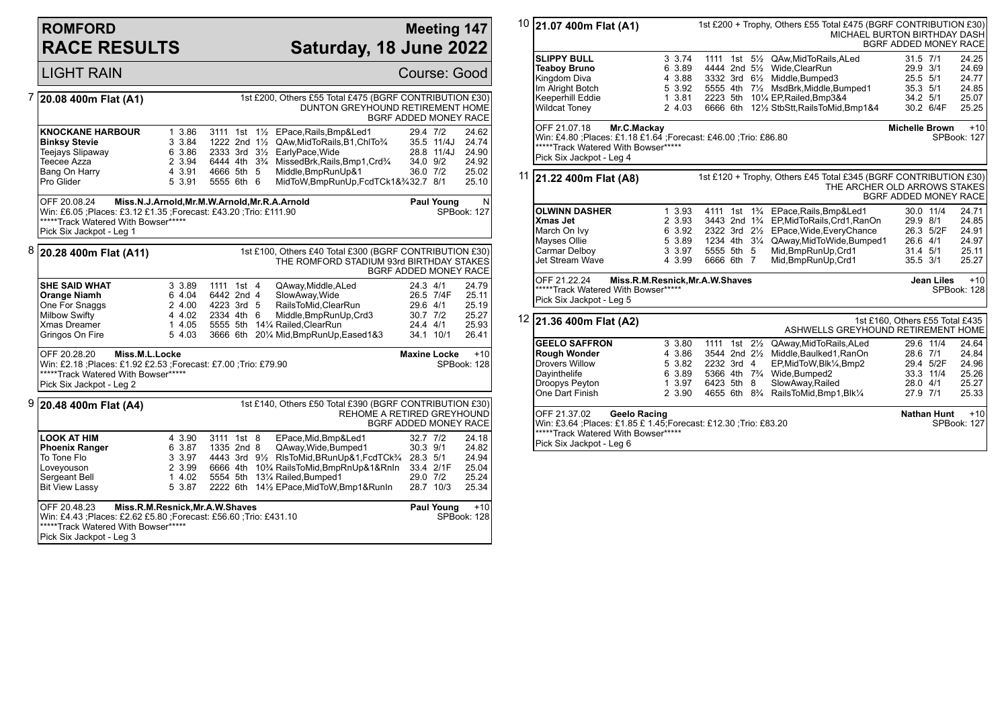## **ROMFORD RACE RESULTS**

### **Meeting 147 Saturday, 18 June 2022**

|   | <b>LIGHT RAIN</b>                                                                                                                                                                                     |                                                          |                                                                    |  |  |                                                                                                                                                                                                                                                                                                         |                                  |                                                         | Course: Good                                                |  |
|---|-------------------------------------------------------------------------------------------------------------------------------------------------------------------------------------------------------|----------------------------------------------------------|--------------------------------------------------------------------|--|--|---------------------------------------------------------------------------------------------------------------------------------------------------------------------------------------------------------------------------------------------------------------------------------------------------------|----------------------------------|---------------------------------------------------------|-------------------------------------------------------------|--|
|   | $7$ 20.08 400m Flat (A1)<br>1st £200, Others £55 Total £475 (BGRF CONTRIBUTION £30)<br>DUNTON GREYHOUND RETIREMENT HOME<br>BGRF ADDED MONEY RACE                                                      |                                                          |                                                                    |  |  |                                                                                                                                                                                                                                                                                                         |                                  |                                                         |                                                             |  |
|   | <b>KNOCKANE HARBOUR</b><br><b>Binksy Stevie</b><br>Teejays Slipaway<br>Teecee Azza<br>Bang On Harry<br>Pro Glider                                                                                     | 1 3.86<br>3 3.84<br>6 3.86<br>2 3.94<br>4 3.91<br>5 3.91 | 6444 4th 3 <sup>3</sup> / <sub>4</sub><br>4666 5th 5<br>5555 6th 6 |  |  | 3111 1st 11/2 EPace, Rails, Bmp&Led1<br>3111 1st $1\frac{1}{2}$ Erace, Dans, Directors 1222 2nd $1\frac{1}{2}$ QAw, MidToRails, B1, ChITo <sup>3</sup> /4<br>2333 3rd 31/2 EarlyPace, Wide<br>MissedBrk, Rails, Bmp1, Crd <sup>3</sup> /4<br>Middle, BmpRunUp&1<br>MidToW, BmpRunUp, FcdTCk1&3432.7 8/1 | 29.4 7/2<br>34.0 9/2<br>36.0 7/2 | 35.5 11/4J<br>28.8 11/4J                                | 24.62<br>24.74<br>24.90<br>24.92<br>25.02<br>25.10          |  |
|   | OFF 20.08.24<br>Miss.N.J.Arnold,Mr.M.W.Arnold,Mr.R.A.Arnold<br>Win: £6.05 ; Places: £3.12 £1.35 ; Forecast: £43.20 ; Trio: £111.90<br>*****Track Watered With Bowser*****<br>Pick Six Jackpot - Leg 1 |                                                          |                                                                    |  |  |                                                                                                                                                                                                                                                                                                         |                                  | <b>Paul Young</b>                                       | N<br>SPBook: 127                                            |  |
| 8 | 20.28 400m Flat (A11)                                                                                                                                                                                 |                                                          |                                                                    |  |  | 1st £100, Others £40 Total £300 (BGRF CONTRIBUTION £30)<br>THE ROMFORD STADIUM 93rd BIRTHDAY STAKES                                                                                                                                                                                                     |                                  |                                                         | BGRF ADDED MONEY RACE                                       |  |
|   | <b>SHE SAID WHAT</b><br>Orange Niamh<br>One For Snaggs<br><b>Milbow Swifty</b><br><b>Xmas Dreamer</b><br>Gringos On Fire                                                                              | 3 3.89<br>6 4.04<br>2 4.00<br>4 4.02<br>1 4.05<br>5 4.03 | 1111 1st 4<br>6442 2nd 4<br>4223 3rd 5<br>2334 4th 6               |  |  | QAway, Middle, ALed<br>SlowAway, Wide<br>RailsToMid, ClearRun<br>Middle, BmpRunUp, Crd3<br>5555 5th 141/4 Railed, ClearRun<br>3666 6th 201/4 Mid, BmpRunUp, Eased 1&3                                                                                                                                   | 24.3 4/1<br>30.7 7/2             | 26.5 7/4F<br>29.6 4/1<br>24.4 4/1<br>34.1 10/1          | 24.79<br>25.11<br>25.19<br>25.27<br>25.93<br>26.41          |  |
|   | OFF 20.28.20<br>Miss.M.L.Locke<br>Win: £2.18 ; Places: £1.92 £2.53 ; Forecast: £7.00 ; Trio: £79.90<br>*****Track Watered With Bowser*****<br>Pick Six Jackpot - Leg 2                                |                                                          |                                                                    |  |  |                                                                                                                                                                                                                                                                                                         | <b>Maxine Locke</b>              |                                                         | $+10$<br>SPBook: 128                                        |  |
|   | $9$ 20.48 400m Flat (A4)                                                                                                                                                                              |                                                          |                                                                    |  |  | 1st £140, Others £50 Total £390 (BGRF CONTRIBUTION £30)<br>REHOME A RETIRED GREYHOUND                                                                                                                                                                                                                   |                                  |                                                         | <b>BGRF ADDED MONEY RACE</b>                                |  |
|   | <b>LOOK AT HIM</b><br><b>Phoenix Ranger</b><br>To Tone Flo<br>Loveyouson<br>Sergeant Bell<br><b>Bit View Lassy</b>                                                                                    | 4 3.90<br>6 3.87<br>3 3.97<br>2 3.99<br>14.02<br>5 3.87  | 3111 1st 8<br>1335 2nd 8                                           |  |  | EPace, Mid, Bmp&Led1<br>QAway, Wide, Bumped1<br>4443 3rd 91/2 RIsToMid, BRunUp&1, FcdTCk3/4 28.3 5/1<br>6666 4th 10% RailsToMid, BmpRnUp&1&RnIn<br>5554 5th 131/4 Railed, Bumped 1<br>2222 6th 141/2 EPace, MidToW, Bmp1& RunIn                                                                         | 32.7 7/2<br>30.3 9/1             | 33.4 2/1F<br>29.0 7/2<br>28.7 10/3<br><b>Paul Young</b> | 24.18<br>24.82<br>24.94<br>25.04<br>25.24<br>25.34<br>$+10$ |  |
|   | OFF 20.48.23<br>Miss.R.M.Resnick, Mr.A.W.Shaves<br>Win: £4.43 ;Places: £2.62 £5.80 ;Forecast: £56.60 ;Trio: £431.10<br>*****Track Watered With Bowser*****<br>Pick Six Jackpot - Leg 3                |                                                          |                                                                    |  |  |                                                                                                                                                                                                                                                                                                         |                                  |                                                         |                                                             |  |

|                                                                                                                                  | 10 21.07 400m Flat (A1)<br>1st £200 + Trophy, Others £55 Total £475 (BGRF CONTRIBUTION £30)<br>MICHAEL BURTON BIRTHDAY DASH<br><b>BGRF ADDED MONEY RACE</b>               |             |                                                          |                                  |  |                    |                                                                                                                                                                                                                                                                                        |                                                          |                                     |                                                    |
|----------------------------------------------------------------------------------------------------------------------------------|---------------------------------------------------------------------------------------------------------------------------------------------------------------------------|-------------|----------------------------------------------------------|----------------------------------|--|--------------------|----------------------------------------------------------------------------------------------------------------------------------------------------------------------------------------------------------------------------------------------------------------------------------------|----------------------------------------------------------|-------------------------------------|----------------------------------------------------|
|                                                                                                                                  | <b>SLIPPY BULL</b><br><b>Teaboy Bruno</b><br>Kingdom Diva<br>Im Alright Botch<br>Keeperhill Eddie<br><b>Wildcat Toney</b>                                                 |             | 3 3.74<br>6 3.89<br>4 3.88<br>5 3.92<br>13.81<br>2 4.03  |                                  |  |                    | 1111 1st 51/ <sub>2</sub> QAw, Mid To Rails, ALed<br>4444 2nd 51/2 Wide, ClearRun<br>3332 3rd 61/2 Middle, Bumped 3<br>5555 4th 71/ <sub>2</sub> MsdBrk, Middle, Bumped 1<br>2223 5th 101/4 EP, Railed, Bmp3&4<br>6666 6th 121/2 StbStt, RailsToMid, Bmp1&4                            | 31.5 7/1<br>29.9 3/1<br>25.5 5/1<br>35.3 5/1<br>34.2 5/1 | 30.2 6/4F                           | 24.25<br>24.69<br>24.77<br>24.85<br>25.07<br>25.25 |
|                                                                                                                                  | OFF 21.07.18<br>Win: £4.80 ;Places: £1.18 £1.64 ;Forecast: £46.00 ;Trio: £86.80<br>*****Track Watered With Bowser*****<br>Pick Six Jackpot - Leg 4                        | Mr.C.Mackay |                                                          |                                  |  |                    |                                                                                                                                                                                                                                                                                        | <b>Michelle Brown</b>                                    |                                     | $+10$<br><b>SPBook: 127</b>                        |
|                                                                                                                                  | 11 21.22 400m Flat (A8)                                                                                                                                                   |             |                                                          |                                  |  |                    | 1st £120 + Trophy, Others £45 Total £345 (BGRF CONTRIBUTION £30)<br>THE ARCHER OLD ARROWS STAKES                                                                                                                                                                                       | <b>BGRF ADDED MONEY RACE</b>                             |                                     |                                                    |
|                                                                                                                                  | <b>OLWINN DASHER</b><br>Xmas Jet<br>March On Ivy<br>Mayses Ollie<br>Carmar Delboy<br>Jet Stream Wave                                                                      |             | 1 3.93<br>2 3.93<br>6 3.92<br>5 3.89<br>3 3.97<br>4 3.99 | 5555 5th 5<br>6666 6th 7         |  |                    | 4111 1st 1 <sup>3</sup> / <sub>4</sub> EPace, Rails, Bmp&Led1<br>3443 2nd 1 <sup>3</sup> / <sub>4</sub> EP, Mid To Rails, Crd 1, RanOn<br>2322 3rd 21/ <sub>2</sub> EPace, Wide, Every Chance<br>1234 4th 31/4 QAway, MidToWide, Bumped1<br>Mid, BmpRunUp, Crd1<br>Mid, BmpRunUp, Crd1 | 29.9 8/1<br>26.6 4/1<br>31.4 5/1<br>35.5 3/1             | 30.0 11/4<br>26.3 5/2F              | 24.71<br>24.85<br>24.91<br>24.97<br>25.11<br>25.27 |
| Miss.R.M.Resnick, Mr.A.W.Shaves<br>Jean Liles<br>OFF 21.22.24<br>*****Track Watered With Bowser*****<br>Pick Six Jackpot - Leg 5 |                                                                                                                                                                           |             |                                                          |                                  |  |                    |                                                                                                                                                                                                                                                                                        |                                                          |                                     | $+10$<br>SPBook: 128                               |
|                                                                                                                                  | $12$ 21.36 400m Flat (A2)                                                                                                                                                 |             |                                                          |                                  |  |                    | ASHWELLS GREYHOUND RETIREMENT HOME                                                                                                                                                                                                                                                     | 1st £160, Others £55 Total £435                          |                                     |                                                    |
|                                                                                                                                  | <b>GEELO SAFFRON</b><br><b>Rough Wonder</b><br>Drovers Willow<br>Dayinthelife<br>Droopys Peyton<br>One Dart Finish                                                        |             | 3 3.80<br>4 3.86<br>5 3.82<br>6 3.89<br>1 3.97<br>2 3.90 | 1111<br>2232 3rd 4<br>6423 5th 8 |  | 1st $2\frac{1}{2}$ | QAway, MidToRails, ALed<br>3544 2nd 21/2 Middle, Baulked 1, RanOn<br>EP, MidToW, Blk 1/4, Bmp2<br>5366 4th 7 <sup>3</sup> / <sub>4</sub> Wide, Bumped 2<br>SlowAway, Railed<br>4655 6th 8 <sup>3</sup> / <sub>4</sub> RailsToMid, Bmp1, Blk <sup>1</sup> / <sub>4</sub>                | 28.6 7/1<br>28.0 4/1<br>27.9 7/1                         | 29.6 11/4<br>29.4 5/2F<br>33.3 11/4 | 24.64<br>24.84<br>24.96<br>25.26<br>25.27<br>25.33 |
|                                                                                                                                  | OFF 21.37.02<br><b>Geelo Racing</b><br>Win: £3.64 ;Places: £1.85 £ 1.45;Forecast: £12.30 ;Trio: £83.20<br>*****Track Watered With Bowser*****<br>Pick Six Jackpot - Leg 6 |             |                                                          |                                  |  |                    |                                                                                                                                                                                                                                                                                        |                                                          | <b>Nathan Hunt</b>                  | $+10$<br>SPBook: 127                               |